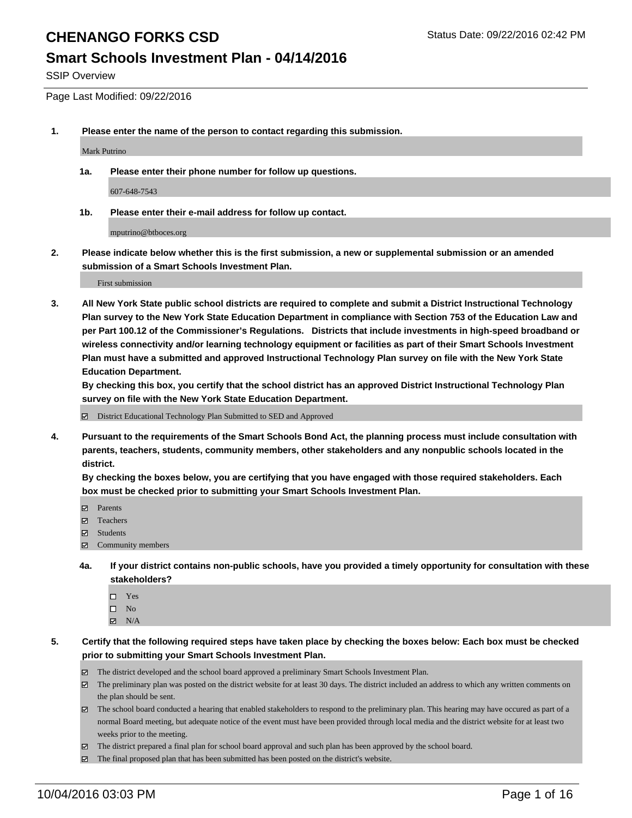#### **Smart Schools Investment Plan - 04/14/2016**

SSIP Overview

Page Last Modified: 09/22/2016

**1. Please enter the name of the person to contact regarding this submission.**

Mark Putrino

**1a. Please enter their phone number for follow up questions.**

607-648-7543

**1b. Please enter their e-mail address for follow up contact.**

mputrino@btboces.org

**2. Please indicate below whether this is the first submission, a new or supplemental submission or an amended submission of a Smart Schools Investment Plan.**

First submission

**3. All New York State public school districts are required to complete and submit a District Instructional Technology Plan survey to the New York State Education Department in compliance with Section 753 of the Education Law and per Part 100.12 of the Commissioner's Regulations. Districts that include investments in high-speed broadband or wireless connectivity and/or learning technology equipment or facilities as part of their Smart Schools Investment Plan must have a submitted and approved Instructional Technology Plan survey on file with the New York State Education Department.** 

**By checking this box, you certify that the school district has an approved District Instructional Technology Plan survey on file with the New York State Education Department.**

District Educational Technology Plan Submitted to SED and Approved

**4. Pursuant to the requirements of the Smart Schools Bond Act, the planning process must include consultation with parents, teachers, students, community members, other stakeholders and any nonpublic schools located in the district.** 

**By checking the boxes below, you are certifying that you have engaged with those required stakeholders. Each box must be checked prior to submitting your Smart Schools Investment Plan.**

- Parents
- □ Teachers
- $\boxtimes$  Students
- $\boxtimes$  Community members
- **4a. If your district contains non-public schools, have you provided a timely opportunity for consultation with these stakeholders?**
	- $\Box$  Yes  $\square$  No
	- $\boxtimes$  N/A
- **5. Certify that the following required steps have taken place by checking the boxes below: Each box must be checked prior to submitting your Smart Schools Investment Plan.**
	- The district developed and the school board approved a preliminary Smart Schools Investment Plan.
	- The preliminary plan was posted on the district website for at least 30 days. The district included an address to which any written comments on the plan should be sent.
	- $\boxtimes$  The school board conducted a hearing that enabled stakeholders to respond to the preliminary plan. This hearing may have occured as part of a normal Board meeting, but adequate notice of the event must have been provided through local media and the district website for at least two weeks prior to the meeting.
	- The district prepared a final plan for school board approval and such plan has been approved by the school board.
	- The final proposed plan that has been submitted has been posted on the district's website.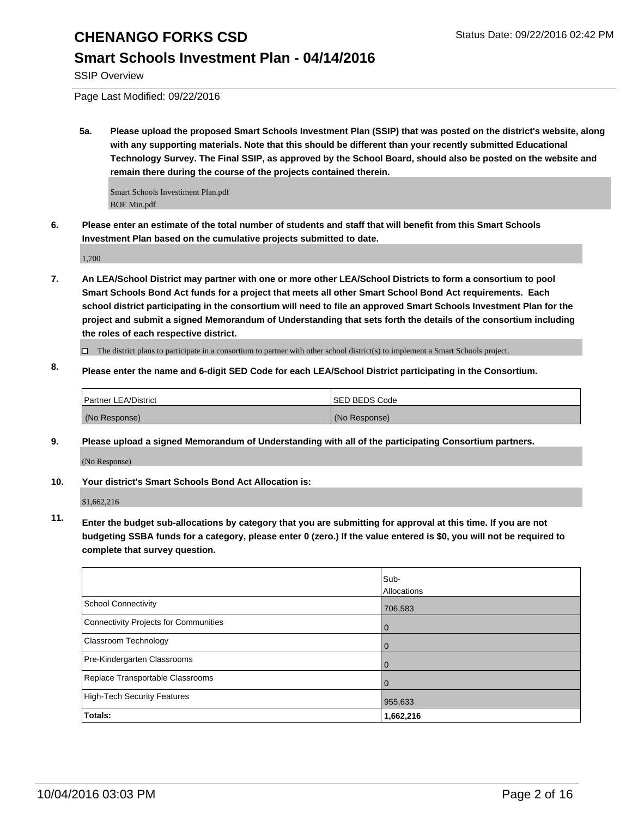#### **Smart Schools Investment Plan - 04/14/2016**

SSIP Overview

Page Last Modified: 09/22/2016

**5a. Please upload the proposed Smart Schools Investment Plan (SSIP) that was posted on the district's website, along with any supporting materials. Note that this should be different than your recently submitted Educational Technology Survey. The Final SSIP, as approved by the School Board, should also be posted on the website and remain there during the course of the projects contained therein.**

Smart Schools Investiment Plan.pdf BOE Min.pdf

**6. Please enter an estimate of the total number of students and staff that will benefit from this Smart Schools Investment Plan based on the cumulative projects submitted to date.**

1,700

**7. An LEA/School District may partner with one or more other LEA/School Districts to form a consortium to pool Smart Schools Bond Act funds for a project that meets all other Smart School Bond Act requirements. Each school district participating in the consortium will need to file an approved Smart Schools Investment Plan for the project and submit a signed Memorandum of Understanding that sets forth the details of the consortium including the roles of each respective district.**

 $\Box$  The district plans to participate in a consortium to partner with other school district(s) to implement a Smart Schools project.

**8. Please enter the name and 6-digit SED Code for each LEA/School District participating in the Consortium.**

| <b>Partner LEA/District</b> | <b>ISED BEDS Code</b> |
|-----------------------------|-----------------------|
| (No Response)               | (No Response)         |

**9. Please upload a signed Memorandum of Understanding with all of the participating Consortium partners.** (No Response)

**10. Your district's Smart Schools Bond Act Allocation is:**

\$1,662,216

**11. Enter the budget sub-allocations by category that you are submitting for approval at this time. If you are not budgeting SSBA funds for a category, please enter 0 (zero.) If the value entered is \$0, you will not be required to complete that survey question.**

|                                       | Sub-<br>Allocations |
|---------------------------------------|---------------------|
| School Connectivity                   | 706,583             |
| Connectivity Projects for Communities | 0                   |
| Classroom Technology                  | $\Omega$            |
| Pre-Kindergarten Classrooms           |                     |
| Replace Transportable Classrooms      |                     |
| High-Tech Security Features           | 955,633             |
| Totals:                               | 1,662,216           |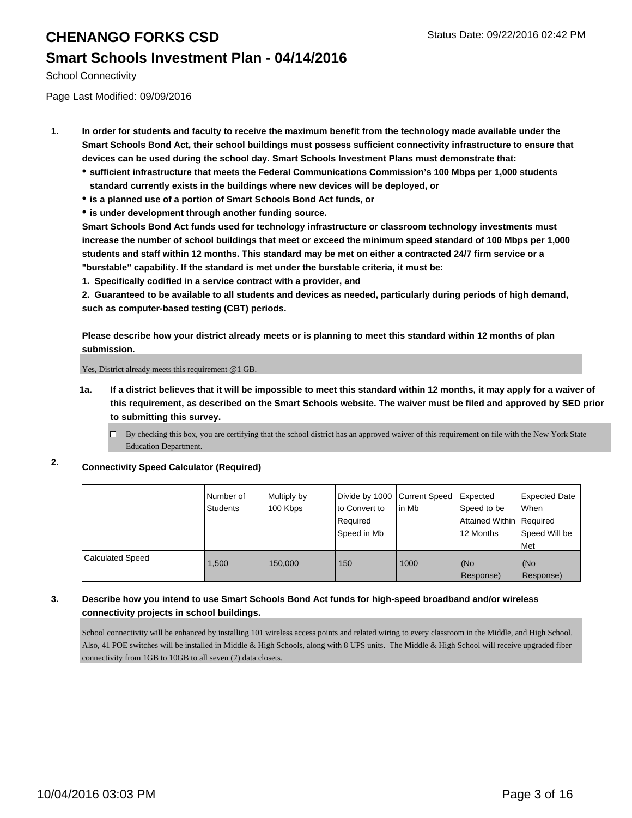#### **Smart Schools Investment Plan - 04/14/2016**

School Connectivity

Page Last Modified: 09/09/2016

- **1. In order for students and faculty to receive the maximum benefit from the technology made available under the Smart Schools Bond Act, their school buildings must possess sufficient connectivity infrastructure to ensure that devices can be used during the school day. Smart Schools Investment Plans must demonstrate that:**
	- **sufficient infrastructure that meets the Federal Communications Commission's 100 Mbps per 1,000 students standard currently exists in the buildings where new devices will be deployed, or**
	- **is a planned use of a portion of Smart Schools Bond Act funds, or**
	- **is under development through another funding source.**

**Smart Schools Bond Act funds used for technology infrastructure or classroom technology investments must increase the number of school buildings that meet or exceed the minimum speed standard of 100 Mbps per 1,000 students and staff within 12 months. This standard may be met on either a contracted 24/7 firm service or a "burstable" capability. If the standard is met under the burstable criteria, it must be:**

**1. Specifically codified in a service contract with a provider, and**

**2. Guaranteed to be available to all students and devices as needed, particularly during periods of high demand, such as computer-based testing (CBT) periods.**

**Please describe how your district already meets or is planning to meet this standard within 12 months of plan submission.**

Yes, District already meets this requirement @1 GB.

- **1a. If a district believes that it will be impossible to meet this standard within 12 months, it may apply for a waiver of this requirement, as described on the Smart Schools website. The waiver must be filed and approved by SED prior to submitting this survey.**
	- $\Box$  By checking this box, you are certifying that the school district has an approved waiver of this requirement on file with the New York State Education Department.
- **2. Connectivity Speed Calculator (Required)**

|                  | INumber of<br><b>Students</b> | Multiply by<br>100 Kbps | Divide by 1000 Current Speed<br>lto Convert to<br>Required<br>Speed in Mb | lin Mb | Expected<br>Speed to be<br>Attained Within Required<br>12 Months | <b>Expected Date</b><br><b>When</b><br>Speed Will be<br>l Met |
|------------------|-------------------------------|-------------------------|---------------------------------------------------------------------------|--------|------------------------------------------------------------------|---------------------------------------------------------------|
| Calculated Speed | 1.500                         | 150,000                 | 150                                                                       | 1000   | (No<br>Response)                                                 | l (No<br>Response)                                            |

#### **3. Describe how you intend to use Smart Schools Bond Act funds for high-speed broadband and/or wireless connectivity projects in school buildings.**

School connectivity will be enhanced by installing 101 wireless access points and related wiring to every classroom in the Middle, and High School. Also, 41 POE switches will be installed in Middle & High Schools, along with 8 UPS units. The Middle & High School will receive upgraded fiber connectivity from 1GB to 10GB to all seven (7) data closets.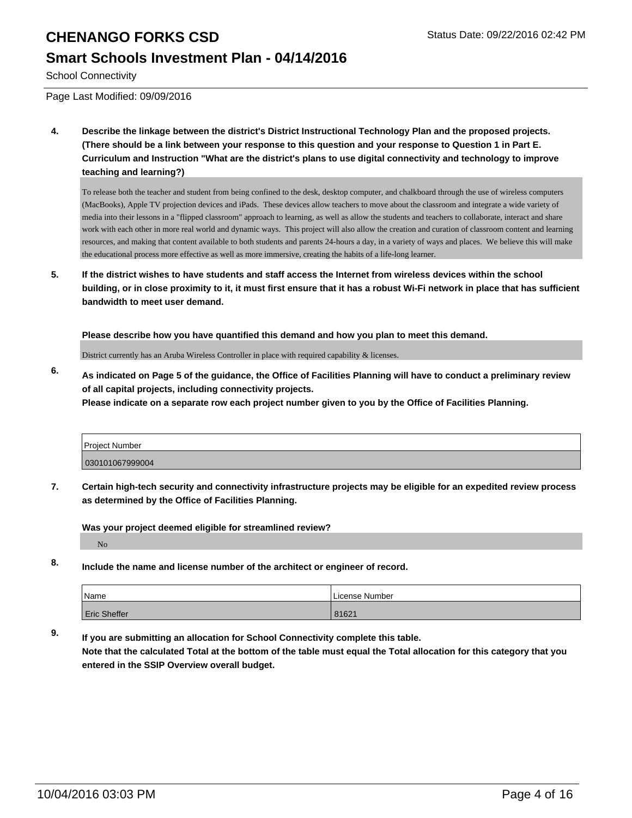#### **Smart Schools Investment Plan - 04/14/2016**

School Connectivity

Page Last Modified: 09/09/2016

**4. Describe the linkage between the district's District Instructional Technology Plan and the proposed projects. (There should be a link between your response to this question and your response to Question 1 in Part E. Curriculum and Instruction "What are the district's plans to use digital connectivity and technology to improve teaching and learning?)**

To release both the teacher and student from being confined to the desk, desktop computer, and chalkboard through the use of wireless computers (MacBooks), Apple TV projection devices and iPads. These devices allow teachers to move about the classroom and integrate a wide variety of media into their lessons in a "flipped classroom" approach to learning, as well as allow the students and teachers to collaborate, interact and share work with each other in more real world and dynamic ways. This project will also allow the creation and curation of classroom content and learning resources, and making that content available to both students and parents 24-hours a day, in a variety of ways and places. We believe this will make the educational process more effective as well as more immersive, creating the habits of a life-long learner.

**5. If the district wishes to have students and staff access the Internet from wireless devices within the school building, or in close proximity to it, it must first ensure that it has a robust Wi-Fi network in place that has sufficient bandwidth to meet user demand.**

**Please describe how you have quantified this demand and how you plan to meet this demand.**

District currently has an Aruba Wireless Controller in place with required capability & licenses.

**6. As indicated on Page 5 of the guidance, the Office of Facilities Planning will have to conduct a preliminary review of all capital projects, including connectivity projects. Please indicate on a separate row each project number given to you by the Office of Facilities Planning.**

| Project Number  |  |
|-----------------|--|
| 030101067999004 |  |

**7. Certain high-tech security and connectivity infrastructure projects may be eligible for an expedited review process as determined by the Office of Facilities Planning.**

**Was your project deemed eligible for streamlined review?**

No

**8. Include the name and license number of the architect or engineer of record.**

| <i>Name</i>         | License Number |
|---------------------|----------------|
| <b>Eric Sheffer</b> | 81621          |

**9. If you are submitting an allocation for School Connectivity complete this table. Note that the calculated Total at the bottom of the table must equal the Total allocation for this category that you entered in the SSIP Overview overall budget.**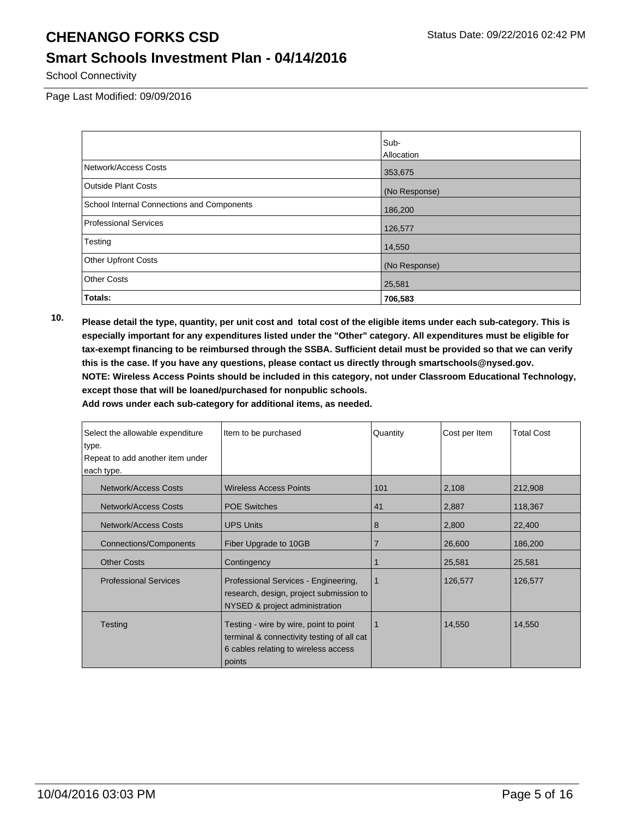#### **Smart Schools Investment Plan - 04/14/2016**

School Connectivity

Page Last Modified: 09/09/2016

|                                            | Sub-          |
|--------------------------------------------|---------------|
|                                            | Allocation    |
| Network/Access Costs                       | 353,675       |
| <b>Outside Plant Costs</b>                 | (No Response) |
| School Internal Connections and Components | 186,200       |
| <b>Professional Services</b>               | 126,577       |
| Testing                                    | 14,550        |
| <b>Other Upfront Costs</b>                 | (No Response) |
| <b>Other Costs</b>                         | 25,581        |
| Totals:                                    | 706,583       |

**10. Please detail the type, quantity, per unit cost and total cost of the eligible items under each sub-category. This is especially important for any expenditures listed under the "Other" category. All expenditures must be eligible for tax-exempt financing to be reimbursed through the SSBA. Sufficient detail must be provided so that we can verify this is the case. If you have any questions, please contact us directly through smartschools@nysed.gov. NOTE: Wireless Access Points should be included in this category, not under Classroom Educational Technology, except those that will be loaned/purchased for nonpublic schools.**

| Select the allowable expenditure                                                                                                                  | Item to be purchased                                                                                                                   | Quantity       | Cost per Item | <b>Total Cost</b> |
|---------------------------------------------------------------------------------------------------------------------------------------------------|----------------------------------------------------------------------------------------------------------------------------------------|----------------|---------------|-------------------|
| type.                                                                                                                                             |                                                                                                                                        |                |               |                   |
| Repeat to add another item under                                                                                                                  |                                                                                                                                        |                |               |                   |
| each type.                                                                                                                                        |                                                                                                                                        |                |               |                   |
| Network/Access Costs                                                                                                                              | <b>Wireless Access Points</b>                                                                                                          | 101            | 2,108         | 212,908           |
| Network/Access Costs                                                                                                                              | <b>POE Switches</b>                                                                                                                    | 41             | 2,887         | 118,367           |
| Network/Access Costs                                                                                                                              | <b>UPS Units</b>                                                                                                                       | 8              | 2,800         | 22,400            |
| Connections/Components<br>Fiber Upgrade to 10GB                                                                                                   |                                                                                                                                        | $\overline{7}$ | 26,600        | 186,200           |
| <b>Other Costs</b>                                                                                                                                | Contingency                                                                                                                            |                | 25,581        | 25,581            |
| <b>Professional Services</b><br>Professional Services - Engineering,<br>research, design, project submission to<br>NYSED & project administration |                                                                                                                                        | 1              | 126,577       | 126,577           |
| Testing                                                                                                                                           | Testing - wire by wire, point to point<br>terminal & connectivity testing of all cat<br>6 cables relating to wireless access<br>points |                | 14,550        | 14,550            |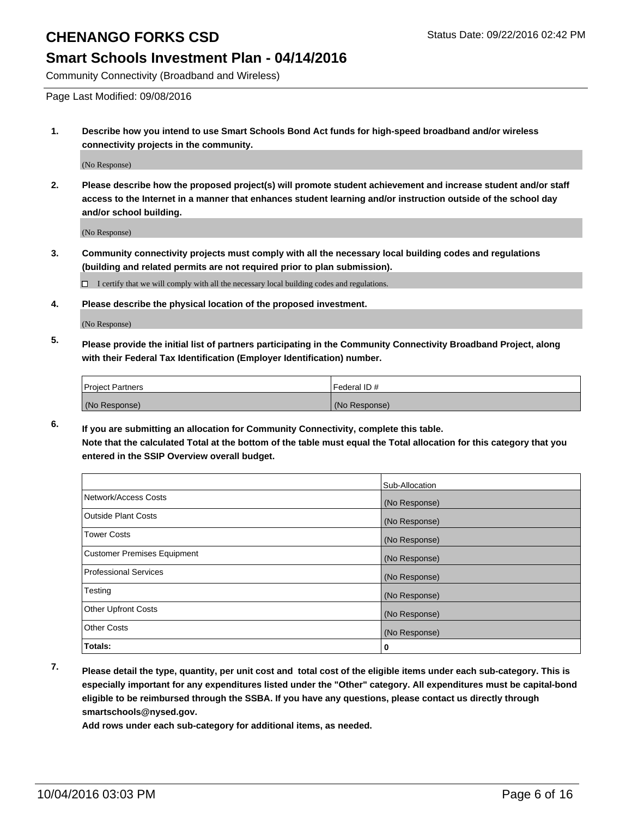#### **Smart Schools Investment Plan - 04/14/2016**

Community Connectivity (Broadband and Wireless)

Page Last Modified: 09/08/2016

**1. Describe how you intend to use Smart Schools Bond Act funds for high-speed broadband and/or wireless connectivity projects in the community.**

(No Response)

**2. Please describe how the proposed project(s) will promote student achievement and increase student and/or staff access to the Internet in a manner that enhances student learning and/or instruction outside of the school day and/or school building.**

(No Response)

**3. Community connectivity projects must comply with all the necessary local building codes and regulations (building and related permits are not required prior to plan submission).**

 $\Box$  I certify that we will comply with all the necessary local building codes and regulations.

**4. Please describe the physical location of the proposed investment.**

(No Response)

**5. Please provide the initial list of partners participating in the Community Connectivity Broadband Project, along with their Federal Tax Identification (Employer Identification) number.**

| <b>Project Partners</b> | Federal ID#   |
|-------------------------|---------------|
| (No Response)           | (No Response) |

**6. If you are submitting an allocation for Community Connectivity, complete this table. Note that the calculated Total at the bottom of the table must equal the Total allocation for this category that you entered in the SSIP Overview overall budget.**

|                                    | Sub-Allocation |
|------------------------------------|----------------|
| Network/Access Costs               | (No Response)  |
| <b>Outside Plant Costs</b>         | (No Response)  |
| Tower Costs                        | (No Response)  |
| <b>Customer Premises Equipment</b> | (No Response)  |
| <b>Professional Services</b>       | (No Response)  |
| Testing                            | (No Response)  |
| <b>Other Upfront Costs</b>         | (No Response)  |
| <b>Other Costs</b>                 | (No Response)  |
| Totals:                            | 0              |

**7. Please detail the type, quantity, per unit cost and total cost of the eligible items under each sub-category. This is especially important for any expenditures listed under the "Other" category. All expenditures must be capital-bond eligible to be reimbursed through the SSBA. If you have any questions, please contact us directly through smartschools@nysed.gov.**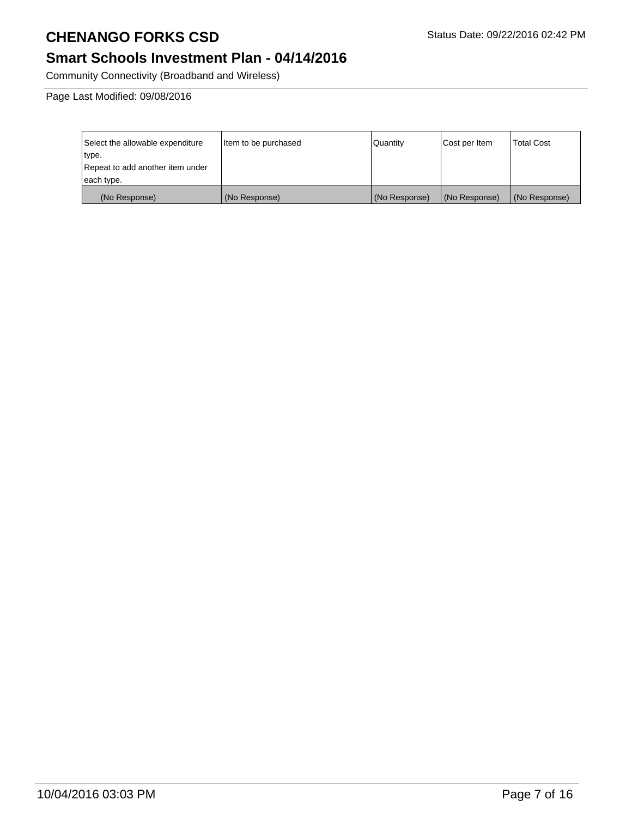# **Smart Schools Investment Plan - 04/14/2016**

Community Connectivity (Broadband and Wireless)

Page Last Modified: 09/08/2016

| Select the allowable expenditure | Item to be purchased | Quantity      | Cost per Item | Total Cost    |
|----------------------------------|----------------------|---------------|---------------|---------------|
| type.                            |                      |               |               |               |
| Repeat to add another item under |                      |               |               |               |
| each type.                       |                      |               |               |               |
| (No Response)                    | (No Response)        | (No Response) | (No Response) | (No Response) |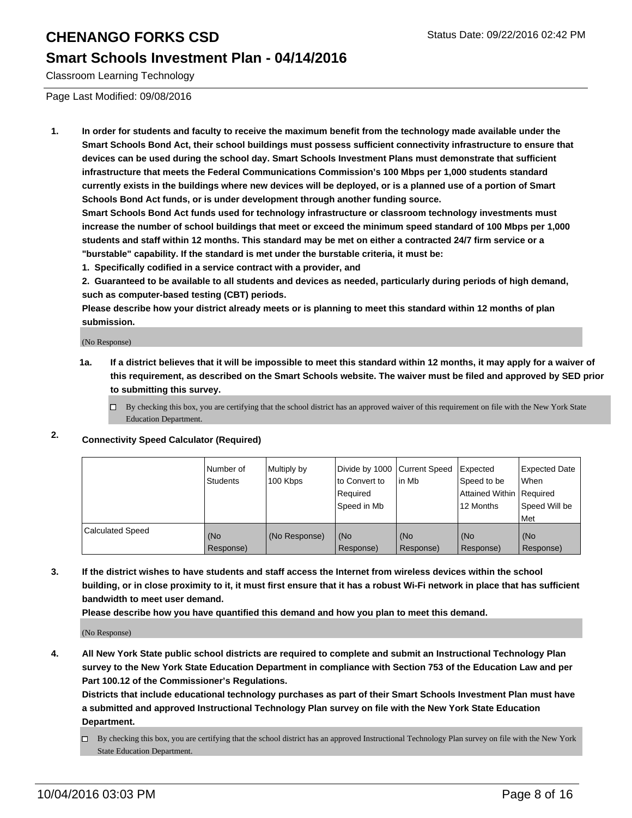#### **Smart Schools Investment Plan - 04/14/2016**

Classroom Learning Technology

Page Last Modified: 09/08/2016

**1. In order for students and faculty to receive the maximum benefit from the technology made available under the Smart Schools Bond Act, their school buildings must possess sufficient connectivity infrastructure to ensure that devices can be used during the school day. Smart Schools Investment Plans must demonstrate that sufficient infrastructure that meets the Federal Communications Commission's 100 Mbps per 1,000 students standard currently exists in the buildings where new devices will be deployed, or is a planned use of a portion of Smart Schools Bond Act funds, or is under development through another funding source.**

**Smart Schools Bond Act funds used for technology infrastructure or classroom technology investments must increase the number of school buildings that meet or exceed the minimum speed standard of 100 Mbps per 1,000 students and staff within 12 months. This standard may be met on either a contracted 24/7 firm service or a "burstable" capability. If the standard is met under the burstable criteria, it must be:**

**1. Specifically codified in a service contract with a provider, and**

**2. Guaranteed to be available to all students and devices as needed, particularly during periods of high demand, such as computer-based testing (CBT) periods.**

**Please describe how your district already meets or is planning to meet this standard within 12 months of plan submission.**

(No Response)

- **1a. If a district believes that it will be impossible to meet this standard within 12 months, it may apply for a waiver of this requirement, as described on the Smart Schools website. The waiver must be filed and approved by SED prior to submitting this survey.**
	- $\Box$  By checking this box, you are certifying that the school district has an approved waiver of this requirement on file with the New York State Education Department.
- **2. Connectivity Speed Calculator (Required)**

|                         | INumber of<br>Students | Multiply by<br>100 Kbps | Ito Convert to<br>Reauired<br>Speed in Mb | Divide by 1000 Current Speed Expected<br>lin Mb | Speed to be<br>Attained Within   Required<br>12 Months | <b>Expected Date</b><br>l When<br>Speed Will be<br>Met |
|-------------------------|------------------------|-------------------------|-------------------------------------------|-------------------------------------------------|--------------------------------------------------------|--------------------------------------------------------|
| <b>Calculated Speed</b> | (No<br>Response)       | (No Response)           | (No<br>Response)                          | (No<br>Response)                                | l (No<br>Response)                                     | (No<br>Response)                                       |

**3. If the district wishes to have students and staff access the Internet from wireless devices within the school building, or in close proximity to it, it must first ensure that it has a robust Wi-Fi network in place that has sufficient bandwidth to meet user demand.**

**Please describe how you have quantified this demand and how you plan to meet this demand.**

(No Response)

**4. All New York State public school districts are required to complete and submit an Instructional Technology Plan survey to the New York State Education Department in compliance with Section 753 of the Education Law and per Part 100.12 of the Commissioner's Regulations.**

**Districts that include educational technology purchases as part of their Smart Schools Investment Plan must have a submitted and approved Instructional Technology Plan survey on file with the New York State Education Department.**

By checking this box, you are certifying that the school district has an approved Instructional Technology Plan survey on file with the New York State Education Department.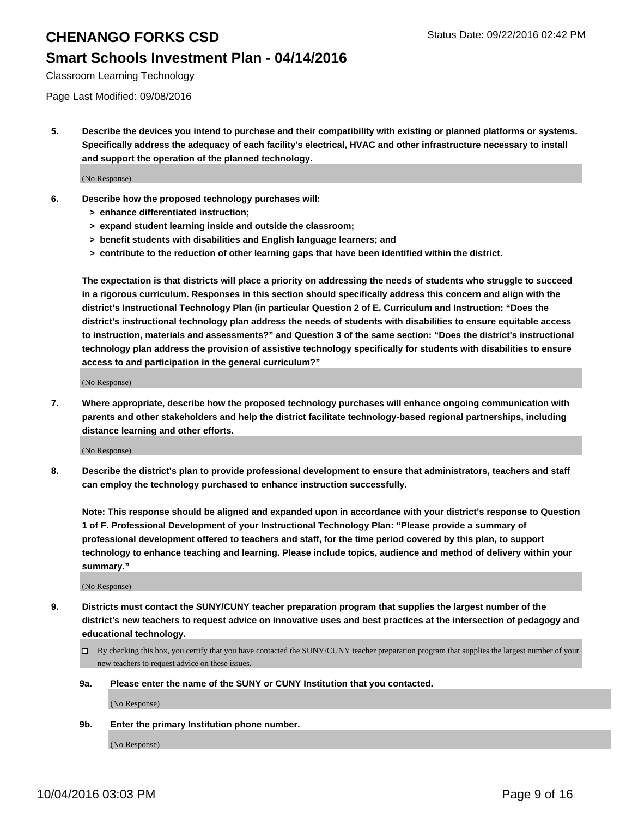#### **Smart Schools Investment Plan - 04/14/2016**

Classroom Learning Technology

Page Last Modified: 09/08/2016

**5. Describe the devices you intend to purchase and their compatibility with existing or planned platforms or systems. Specifically address the adequacy of each facility's electrical, HVAC and other infrastructure necessary to install and support the operation of the planned technology.**

(No Response)

- **6. Describe how the proposed technology purchases will:**
	- **> enhance differentiated instruction;**
	- **> expand student learning inside and outside the classroom;**
	- **> benefit students with disabilities and English language learners; and**
	- **> contribute to the reduction of other learning gaps that have been identified within the district.**

**The expectation is that districts will place a priority on addressing the needs of students who struggle to succeed in a rigorous curriculum. Responses in this section should specifically address this concern and align with the district's Instructional Technology Plan (in particular Question 2 of E. Curriculum and Instruction: "Does the district's instructional technology plan address the needs of students with disabilities to ensure equitable access to instruction, materials and assessments?" and Question 3 of the same section: "Does the district's instructional technology plan address the provision of assistive technology specifically for students with disabilities to ensure access to and participation in the general curriculum?"**

(No Response)

**7. Where appropriate, describe how the proposed technology purchases will enhance ongoing communication with parents and other stakeholders and help the district facilitate technology-based regional partnerships, including distance learning and other efforts.**

(No Response)

**8. Describe the district's plan to provide professional development to ensure that administrators, teachers and staff can employ the technology purchased to enhance instruction successfully.**

**Note: This response should be aligned and expanded upon in accordance with your district's response to Question 1 of F. Professional Development of your Instructional Technology Plan: "Please provide a summary of professional development offered to teachers and staff, for the time period covered by this plan, to support technology to enhance teaching and learning. Please include topics, audience and method of delivery within your summary."**

(No Response)

- **9. Districts must contact the SUNY/CUNY teacher preparation program that supplies the largest number of the district's new teachers to request advice on innovative uses and best practices at the intersection of pedagogy and educational technology.**
	- $\Box$  By checking this box, you certify that you have contacted the SUNY/CUNY teacher preparation program that supplies the largest number of your new teachers to request advice on these issues.
	- **9a. Please enter the name of the SUNY or CUNY Institution that you contacted.**

(No Response)

**9b. Enter the primary Institution phone number.**

(No Response)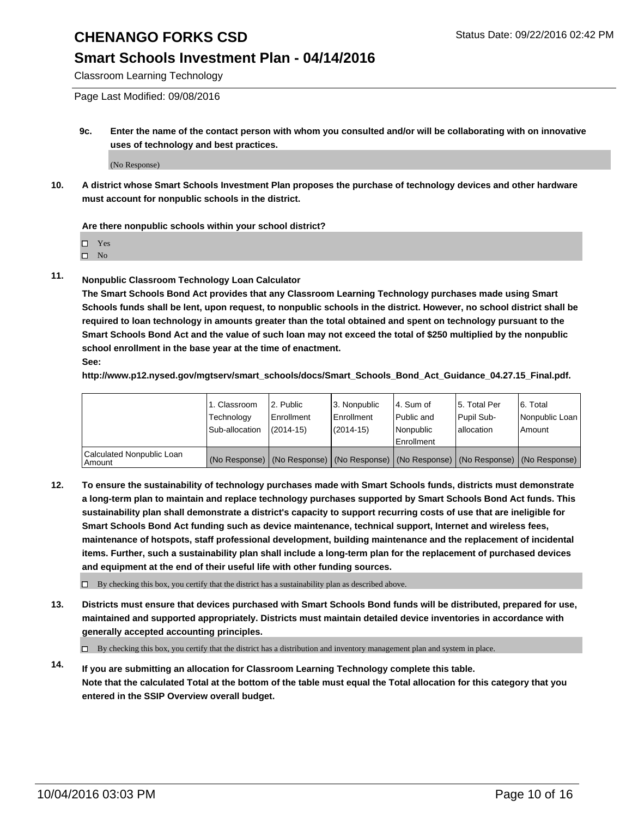#### **Smart Schools Investment Plan - 04/14/2016**

Classroom Learning Technology

Page Last Modified: 09/08/2016

**9c. Enter the name of the contact person with whom you consulted and/or will be collaborating with on innovative uses of technology and best practices.**

(No Response)

**10. A district whose Smart Schools Investment Plan proposes the purchase of technology devices and other hardware must account for nonpublic schools in the district.**

#### **Are there nonpublic schools within your school district?**

□ Yes

 $\square$  No

**11. Nonpublic Classroom Technology Loan Calculator**

**The Smart Schools Bond Act provides that any Classroom Learning Technology purchases made using Smart Schools funds shall be lent, upon request, to nonpublic schools in the district. However, no school district shall be required to loan technology in amounts greater than the total obtained and spent on technology pursuant to the Smart Schools Bond Act and the value of such loan may not exceed the total of \$250 multiplied by the nonpublic school enrollment in the base year at the time of enactment. See:**

**http://www.p12.nysed.gov/mgtserv/smart\_schools/docs/Smart\_Schools\_Bond\_Act\_Guidance\_04.27.15\_Final.pdf.**

|                                         | 1. Classroom   | 2. Public         | 3. Nonpublic                                                                                  | l 4. Sum of  | 5. Total Per | 6. Total       |
|-----------------------------------------|----------------|-------------------|-----------------------------------------------------------------------------------------------|--------------|--------------|----------------|
|                                         | Technology     | <b>Enrollment</b> | Enrollment                                                                                    | l Public and | Pupil Sub-   | Nonpublic Loan |
|                                         | Sub-allocation | $(2014 - 15)$     | $(2014-15)$                                                                                   | Nonpublic    | lallocation  | Amount         |
| Calculated Nonpublic Loan<br>l Amount i |                |                   | (No Response)   (No Response)   (No Response)   (No Response)   (No Response)   (No Response) | Enrollment   |              |                |

**12. To ensure the sustainability of technology purchases made with Smart Schools funds, districts must demonstrate a long-term plan to maintain and replace technology purchases supported by Smart Schools Bond Act funds. This sustainability plan shall demonstrate a district's capacity to support recurring costs of use that are ineligible for Smart Schools Bond Act funding such as device maintenance, technical support, Internet and wireless fees, maintenance of hotspots, staff professional development, building maintenance and the replacement of incidental items. Further, such a sustainability plan shall include a long-term plan for the replacement of purchased devices and equipment at the end of their useful life with other funding sources.**

 $\square$  By checking this box, you certify that the district has a sustainability plan as described above.

**13. Districts must ensure that devices purchased with Smart Schools Bond funds will be distributed, prepared for use, maintained and supported appropriately. Districts must maintain detailed device inventories in accordance with generally accepted accounting principles.**

By checking this box, you certify that the district has a distribution and inventory management plan and system in place.

**14. If you are submitting an allocation for Classroom Learning Technology complete this table. Note that the calculated Total at the bottom of the table must equal the Total allocation for this category that you entered in the SSIP Overview overall budget.**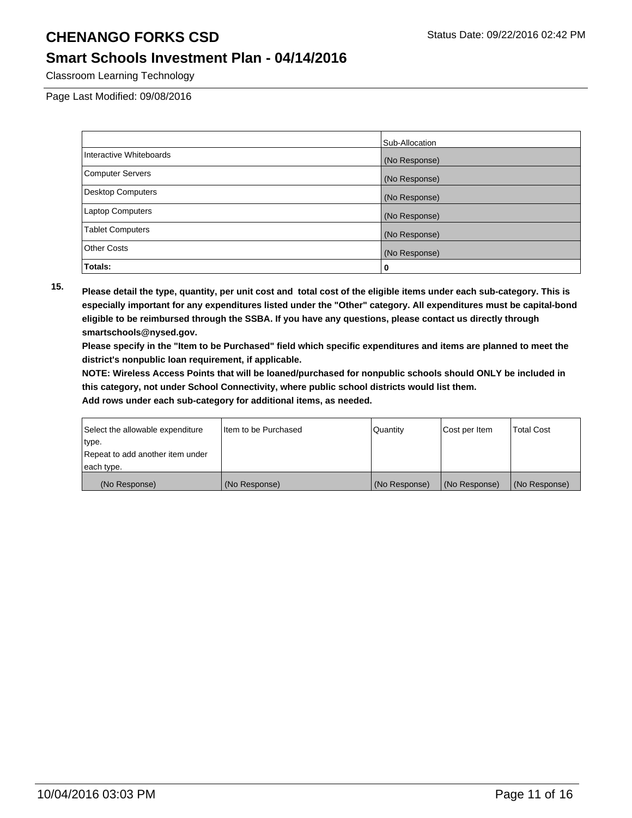### **Smart Schools Investment Plan - 04/14/2016**

Classroom Learning Technology

Page Last Modified: 09/08/2016

|                          | Sub-Allocation |
|--------------------------|----------------|
| Interactive Whiteboards  | (No Response)  |
| <b>Computer Servers</b>  | (No Response)  |
| <b>Desktop Computers</b> | (No Response)  |
| <b>Laptop Computers</b>  | (No Response)  |
| <b>Tablet Computers</b>  | (No Response)  |
| <b>Other Costs</b>       | (No Response)  |
| Totals:                  | 0              |

**15. Please detail the type, quantity, per unit cost and total cost of the eligible items under each sub-category. This is especially important for any expenditures listed under the "Other" category. All expenditures must be capital-bond eligible to be reimbursed through the SSBA. If you have any questions, please contact us directly through smartschools@nysed.gov.**

**Please specify in the "Item to be Purchased" field which specific expenditures and items are planned to meet the district's nonpublic loan requirement, if applicable.**

**NOTE: Wireless Access Points that will be loaned/purchased for nonpublic schools should ONLY be included in this category, not under School Connectivity, where public school districts would list them.**

| Select the allowable expenditure | Item to be Purchased | l Quantitv    | Cost per Item | <b>Total Cost</b> |
|----------------------------------|----------------------|---------------|---------------|-------------------|
| ∣type.                           |                      |               |               |                   |
| Repeat to add another item under |                      |               |               |                   |
| each type.                       |                      |               |               |                   |
| (No Response)                    | (No Response)        | (No Response) | (No Response) | (No Response)     |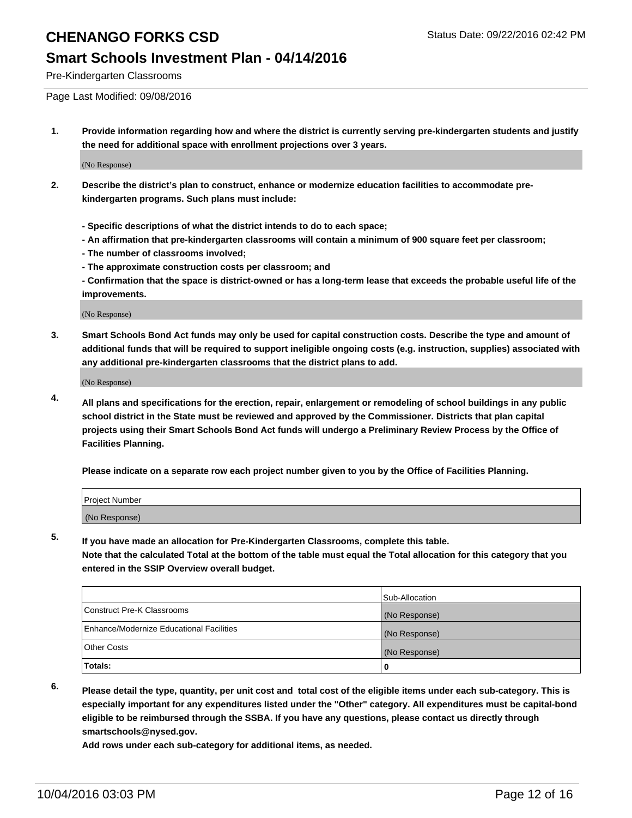#### **Smart Schools Investment Plan - 04/14/2016**

Pre-Kindergarten Classrooms

Page Last Modified: 09/08/2016

**1. Provide information regarding how and where the district is currently serving pre-kindergarten students and justify the need for additional space with enrollment projections over 3 years.**

(No Response)

- **2. Describe the district's plan to construct, enhance or modernize education facilities to accommodate prekindergarten programs. Such plans must include:**
	- **Specific descriptions of what the district intends to do to each space;**
	- **An affirmation that pre-kindergarten classrooms will contain a minimum of 900 square feet per classroom;**
	- **The number of classrooms involved;**
	- **The approximate construction costs per classroom; and**
	- **Confirmation that the space is district-owned or has a long-term lease that exceeds the probable useful life of the improvements.**

(No Response)

**3. Smart Schools Bond Act funds may only be used for capital construction costs. Describe the type and amount of additional funds that will be required to support ineligible ongoing costs (e.g. instruction, supplies) associated with any additional pre-kindergarten classrooms that the district plans to add.**

(No Response)

**4. All plans and specifications for the erection, repair, enlargement or remodeling of school buildings in any public school district in the State must be reviewed and approved by the Commissioner. Districts that plan capital projects using their Smart Schools Bond Act funds will undergo a Preliminary Review Process by the Office of Facilities Planning.**

**Please indicate on a separate row each project number given to you by the Office of Facilities Planning.**

| Project Number |  |  |
|----------------|--|--|
| (No Response)  |  |  |

**5. If you have made an allocation for Pre-Kindergarten Classrooms, complete this table.**

**Note that the calculated Total at the bottom of the table must equal the Total allocation for this category that you entered in the SSIP Overview overall budget.**

|                                          | Sub-Allocation |
|------------------------------------------|----------------|
| Construct Pre-K Classrooms               | (No Response)  |
| Enhance/Modernize Educational Facilities | (No Response)  |
| Other Costs                              | (No Response)  |
| <b>Totals:</b>                           |                |

**6. Please detail the type, quantity, per unit cost and total cost of the eligible items under each sub-category. This is especially important for any expenditures listed under the "Other" category. All expenditures must be capital-bond eligible to be reimbursed through the SSBA. If you have any questions, please contact us directly through smartschools@nysed.gov.**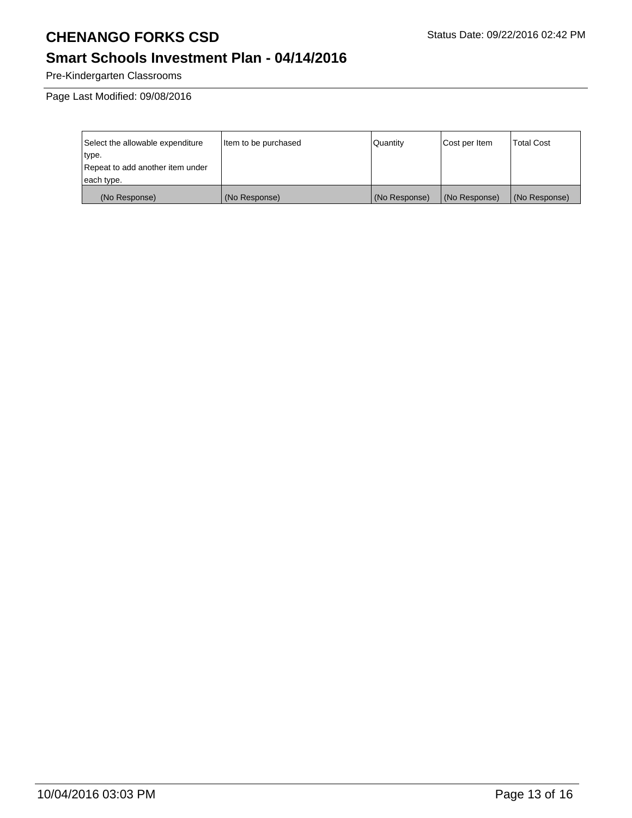# **Smart Schools Investment Plan - 04/14/2016**

Pre-Kindergarten Classrooms

Page Last Modified: 09/08/2016

| Select the allowable expenditure | Item to be purchased | Quantity      | Cost per Item | <b>Total Cost</b> |
|----------------------------------|----------------------|---------------|---------------|-------------------|
| type.                            |                      |               |               |                   |
| Repeat to add another item under |                      |               |               |                   |
| each type.                       |                      |               |               |                   |
| (No Response)                    | (No Response)        | (No Response) | (No Response) | (No Response)     |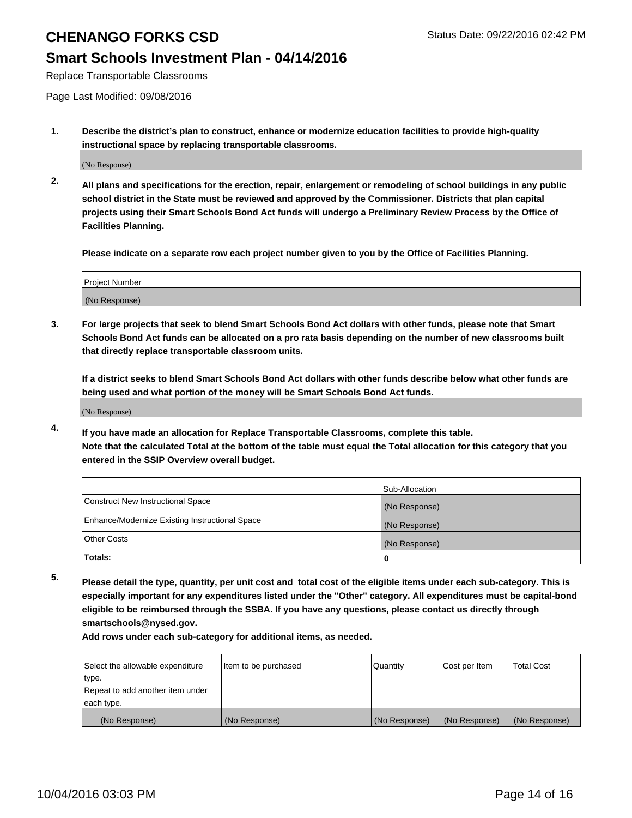### **Smart Schools Investment Plan - 04/14/2016**

Replace Transportable Classrooms

Page Last Modified: 09/08/2016

**1. Describe the district's plan to construct, enhance or modernize education facilities to provide high-quality instructional space by replacing transportable classrooms.**

(No Response)

**2. All plans and specifications for the erection, repair, enlargement or remodeling of school buildings in any public school district in the State must be reviewed and approved by the Commissioner. Districts that plan capital projects using their Smart Schools Bond Act funds will undergo a Preliminary Review Process by the Office of Facilities Planning.**

**Please indicate on a separate row each project number given to you by the Office of Facilities Planning.**

| Project Number |  |
|----------------|--|
| (No Response)  |  |

**3. For large projects that seek to blend Smart Schools Bond Act dollars with other funds, please note that Smart Schools Bond Act funds can be allocated on a pro rata basis depending on the number of new classrooms built that directly replace transportable classroom units.**

**If a district seeks to blend Smart Schools Bond Act dollars with other funds describe below what other funds are being used and what portion of the money will be Smart Schools Bond Act funds.**

(No Response)

**4. If you have made an allocation for Replace Transportable Classrooms, complete this table. Note that the calculated Total at the bottom of the table must equal the Total allocation for this category that you entered in the SSIP Overview overall budget.**

|                                                | Sub-Allocation |
|------------------------------------------------|----------------|
| Construct New Instructional Space              | (No Response)  |
| Enhance/Modernize Existing Instructional Space | (No Response)  |
| Other Costs                                    | (No Response)  |
| Totals:                                        | 0              |

**5. Please detail the type, quantity, per unit cost and total cost of the eligible items under each sub-category. This is especially important for any expenditures listed under the "Other" category. All expenditures must be capital-bond eligible to be reimbursed through the SSBA. If you have any questions, please contact us directly through smartschools@nysed.gov.**

| Select the allowable expenditure | Item to be purchased | Quantity      | Cost per Item | Total Cost    |
|----------------------------------|----------------------|---------------|---------------|---------------|
| type.                            |                      |               |               |               |
| Repeat to add another item under |                      |               |               |               |
| each type.                       |                      |               |               |               |
| (No Response)                    | (No Response)        | (No Response) | (No Response) | (No Response) |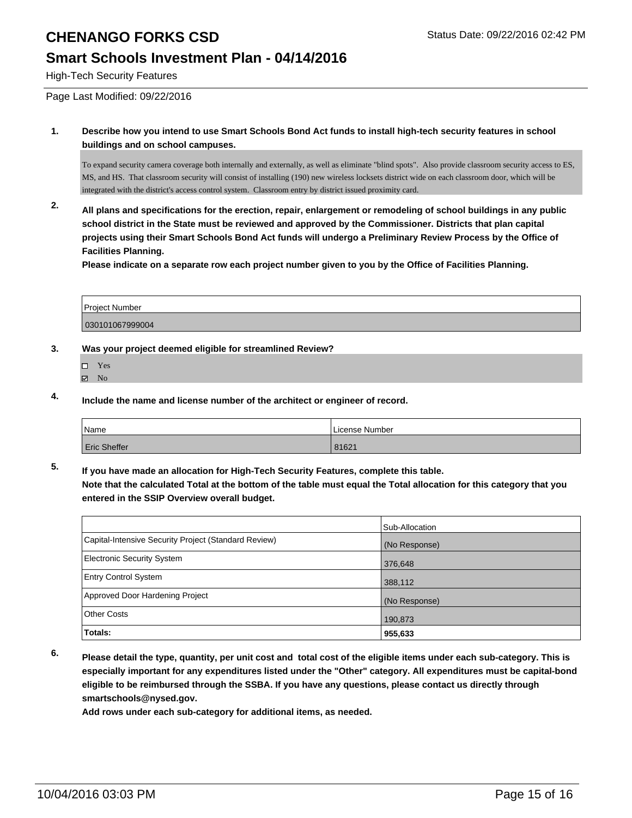### **Smart Schools Investment Plan - 04/14/2016**

High-Tech Security Features

Page Last Modified: 09/22/2016

**1. Describe how you intend to use Smart Schools Bond Act funds to install high-tech security features in school buildings and on school campuses.**

To expand security camera coverage both internally and externally, as well as eliminate "blind spots". Also provide classroom security access to ES, MS, and HS. That classroom security will consist of installing (190) new wireless locksets district wide on each classroom door, which will be integrated with the district's access control system. Classroom entry by district issued proximity card.

**2. All plans and specifications for the erection, repair, enlargement or remodeling of school buildings in any public school district in the State must be reviewed and approved by the Commissioner. Districts that plan capital projects using their Smart Schools Bond Act funds will undergo a Preliminary Review Process by the Office of Facilities Planning.** 

**Please indicate on a separate row each project number given to you by the Office of Facilities Planning.**

| <b>Project Number</b> |  |
|-----------------------|--|
| 030101067999004       |  |

#### **3. Was your project deemed eligible for streamlined Review?**

- $\Box$ Yes
- **Z** No
- **4. Include the name and license number of the architect or engineer of record.**

| Name                | License Number |
|---------------------|----------------|
| <b>Eric Sheffer</b> | 81621          |

**5. If you have made an allocation for High-Tech Security Features, complete this table. Note that the calculated Total at the bottom of the table must equal the Total allocation for this category that you entered in the SSIP Overview overall budget.**

|                                                      | Sub-Allocation |
|------------------------------------------------------|----------------|
| Capital-Intensive Security Project (Standard Review) | (No Response)  |
| Electronic Security System                           | 376,648        |
| <b>Entry Control System</b>                          | 388,112        |
| Approved Door Hardening Project                      | (No Response)  |
| Other Costs                                          | 190,873        |
| Totals:                                              | 955,633        |

**6. Please detail the type, quantity, per unit cost and total cost of the eligible items under each sub-category. This is especially important for any expenditures listed under the "Other" category. All expenditures must be capital-bond eligible to be reimbursed through the SSBA. If you have any questions, please contact us directly through smartschools@nysed.gov.**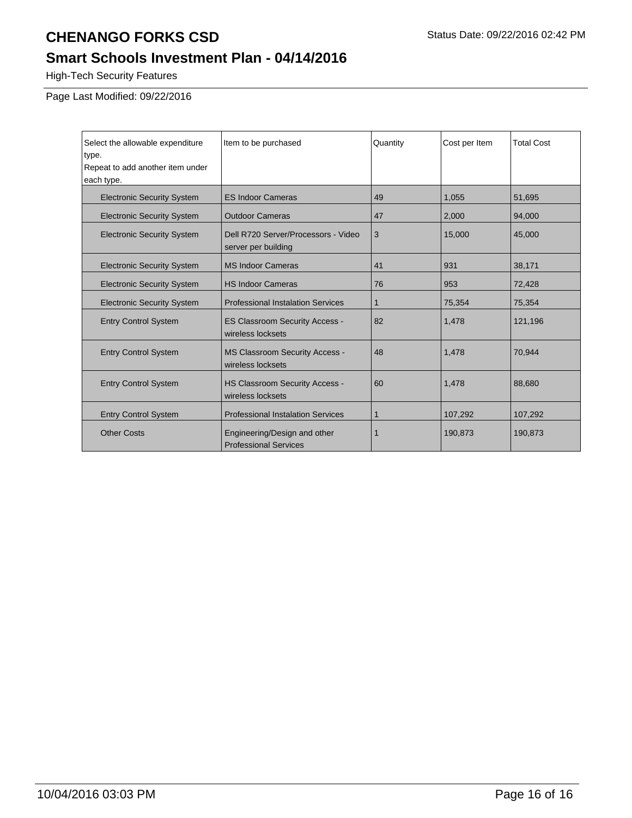# **Smart Schools Investment Plan - 04/14/2016**

High-Tech Security Features

Page Last Modified: 09/22/2016

| Select the allowable expenditure<br>type.<br>Repeat to add another item under<br>each type. | Item to be purchased                                         | Quantity     | Cost per Item | <b>Total Cost</b> |
|---------------------------------------------------------------------------------------------|--------------------------------------------------------------|--------------|---------------|-------------------|
| <b>Electronic Security System</b>                                                           | <b>ES Indoor Cameras</b>                                     | 49           | 1,055         | 51,695            |
| <b>Electronic Security System</b>                                                           | <b>Outdoor Cameras</b>                                       | 47           | 2,000         | 94,000            |
| <b>Electronic Security System</b>                                                           | Dell R720 Server/Processors - Video<br>server per building   | 3            | 15,000        | 45,000            |
| <b>Electronic Security System</b>                                                           | <b>MS Indoor Cameras</b>                                     | 41           | 931           | 38,171            |
| <b>Electronic Security System</b>                                                           | <b>HS Indoor Cameras</b>                                     | 76           | 953           | 72,428            |
| <b>Electronic Security System</b>                                                           | <b>Professional Instalation Services</b>                     | $\mathbf{1}$ | 75,354        | 75,354            |
| <b>Entry Control System</b>                                                                 | <b>ES Classroom Security Access -</b><br>wireless locksets   | 82           | 1,478         | 121,196           |
| <b>Entry Control System</b>                                                                 | <b>MS Classroom Security Access -</b><br>wireless locksets   | 48           | 1,478         | 70,944            |
| <b>Entry Control System</b>                                                                 | <b>HS Classroom Security Access -</b><br>wireless locksets   | 60           | 1,478         | 88,680            |
| <b>Entry Control System</b>                                                                 | <b>Professional Instalation Services</b>                     | 1            | 107,292       | 107,292           |
| <b>Other Costs</b>                                                                          | Engineering/Design and other<br><b>Professional Services</b> |              | 190,873       | 190,873           |